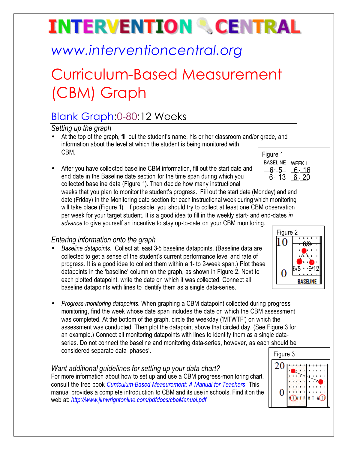# **INTERVENTION & CENTRAL**

## *www.interventioncentral.org*

## Curriculum-Based Measurement (CBM) Graph

### Blank Graph:0-80:12 Weeks

*Setting up the graph*

- $\Gamma$ Figure 1 • At the top of the graph, fill out the student's name, his or her classroom and/or grade, and information about the level at which the student is being monitored with CBM.
- After you have collected baseline CBM information, fill out the start date and end date in the Baseline date section for the time span during which you collected baseline data (Figure 1). Then decide how many instructional

| <u>riyule</u> l |          |
|-----------------|----------|
| <b>BASELINE</b> | WEEK 1   |
| հ-              | 16<br>ჩ- |
|                 |          |
|                 |          |

weeks that you plan to monitor the student's progress. Fill out the start date (Monday) and end date (Friday) in the Monitoring date section for each instructional week during which monitoring will take place (Figure 1). If possible, you should try to collect at least one CBM observation per week for your target student. It is a good idea to fill in the weekly start- and end-dates *in advance* to give yourself an incentive to stay up-to-date on your CBM monitoring.

### *Entering information onto the graph*

- *Baseline datapoints*. Collect at least 3-5 baseline datapoints. (Baseline data are collected to get a sense of the student's current performance level and rate of progress. It is a good idea to collect them within a 1- to 2-week span.) Plot these datapoints in the 'baseline' column on the graph, as shown in Figure 2. Next to each plotted datapoint, write the date on which it was collected. Connect all baseline datapoints with lines to identify them as a single data-series.
- *Progress-monitoring datapoints*. When graphing a CBM datapoint collected during progress monitoring, find the week whose date span includes the date on which the CBM assessment was completed. At the bottom of the graph, circle the weekday ('MTWTF') on which the assessment was conducted. Then plot the datapoint above that circled day. (See Figure 3 for an example.) Connect all monitoring datapoints with lines to identify them as a single dataseries. Do not connect the baseline and monitoring data-series, however, as each should be considered separate data 'phases'.

#### *Want additional guidelines for setting up your data chart?*

For more information about how to set up and use a CBM progress-monitoring chart, consult the free book *Curriculum-Based Measurement: A Manual for Teachers.* This manual provides a complete introduction to CBM and its use in schools. Find it on the web at: *http://www.jimwrightonline.com/pdfdocs/cbaManual.pdf*